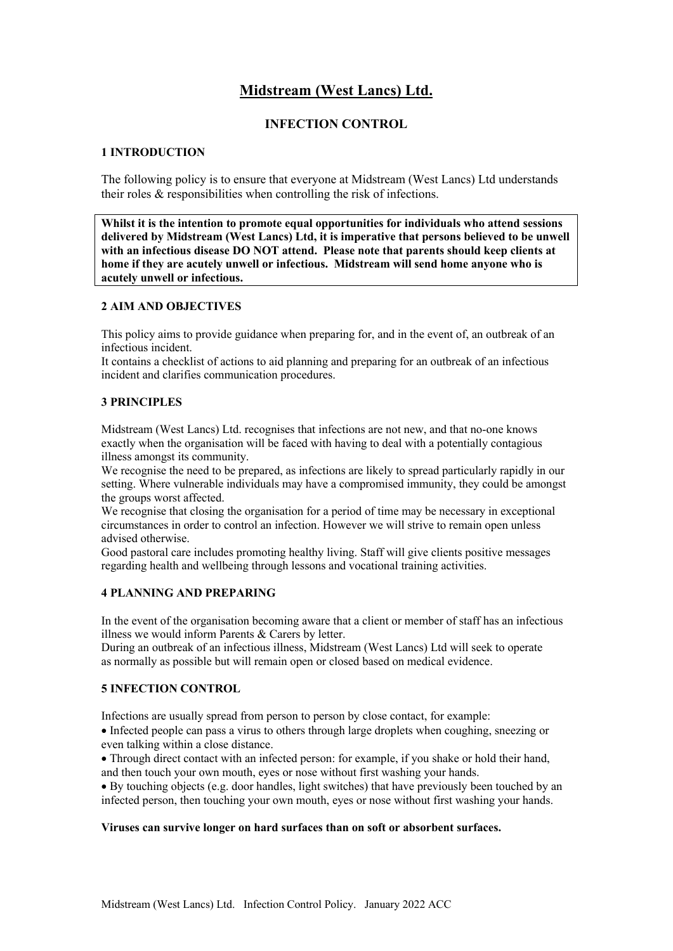# **Midstream (West Lancs) Ltd.**

## **INFECTION CONTROL**

## **1 INTRODUCTION**

The following policy is to ensure that everyone at Midstream (West Lancs) Ltd understands their roles & responsibilities when controlling the risk of infections.

**Whilst it is the intention to promote equal opportunities for individuals who attend sessions delivered by Midstream (West Lancs) Ltd, it is imperative that persons believed to be unwell with an infectious disease DO NOT attend. Please note that parents should keep clients at home if they are acutely unwell or infectious. Midstream will send home anyone who is acutely unwell or infectious.** 

## **2 AIM AND OBJECTIVES**

This policy aims to provide guidance when preparing for, and in the event of, an outbreak of an infectious incident.

It contains a checklist of actions to aid planning and preparing for an outbreak of an infectious incident and clarifies communication procedures.

#### **3 PRINCIPLES**

Midstream (West Lancs) Ltd. recognises that infections are not new, and that no-one knows exactly when the organisation will be faced with having to deal with a potentially contagious illness amongst its community.

We recognise the need to be prepared, as infections are likely to spread particularly rapidly in our setting. Where vulnerable individuals may have a compromised immunity, they could be amongst the groups worst affected.

We recognise that closing the organisation for a period of time may be necessary in exceptional circumstances in order to control an infection. However we will strive to remain open unless advised otherwise.

Good pastoral care includes promoting healthy living. Staff will give clients positive messages regarding health and wellbeing through lessons and vocational training activities.

#### **4 PLANNING AND PREPARING**

In the event of the organisation becoming aware that a client or member of staff has an infectious illness we would inform Parents & Carers by letter.

During an outbreak of an infectious illness, Midstream (West Lancs) Ltd will seek to operate as normally as possible but will remain open or closed based on medical evidence.

## **5 INFECTION CONTROL**

Infections are usually spread from person to person by close contact, for example:

• Infected people can pass a virus to others through large droplets when coughing, sneezing or even talking within a close distance.

• Through direct contact with an infected person: for example, if you shake or hold their hand, and then touch your own mouth, eyes or nose without first washing your hands.

• By touching objects (e.g. door handles, light switches) that have previously been touched by an infected person, then touching your own mouth, eyes or nose without first washing your hands.

#### **Viruses can survive longer on hard surfaces than on soft or absorbent surfaces.**